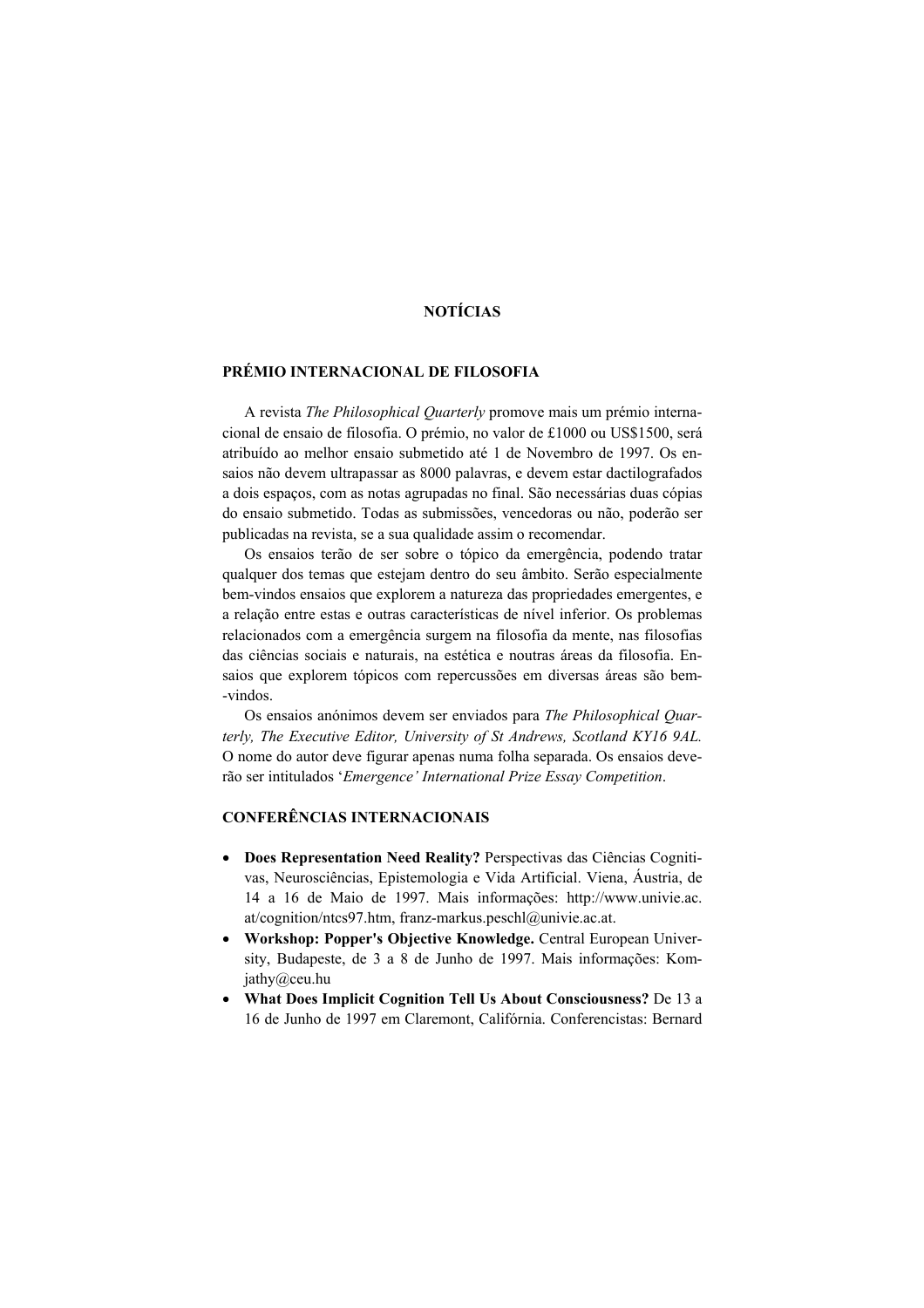## **NOTÍCIAS**

#### **PRÉMIO INTERNACIONAL DE FILOSOFIA**

 A revista *The Philosophical Quarterly* promove mais um prémio internacional de ensaio de filosofia. O prémio, no valor de £1000 ou US\$1500, será atribuído ao melhor ensaio submetido até 1 de Novembro de 1997. Os ensaios não devem ultrapassar as 8000 palavras, e devem estar dactilografados a dois espaços, com as notas agrupadas no final. São necessárias duas cópias do ensaio submetido. Todas as submissões, vencedoras ou não, poderão ser publicadas na revista, se a sua qualidade assim o recomendar.

 Os ensaios terão de ser sobre o tópico da emergência, podendo tratar qualquer dos temas que estejam dentro do seu âmbito. Serão especialmente bem-vindos ensaios que explorem a natureza das propriedades emergentes, e a relação entre estas e outras características de nível inferior. Os problemas relacionados com a emergência surgem na filosofia da mente, nas filosofias das ciências sociais e naturais, na estética e noutras áreas da filosofia. Ensaios que explorem tópicos com repercussões em diversas áreas são bem- -vindos.

 Os ensaios anónimos devem ser enviados para *The Philosophical Quarterly, The Executive Editor, University of St Andrews, Scotland KY16 9AL.* O nome do autor deve figurar apenas numa folha separada. Os ensaios deverão ser intitulados '*Emergence' International Prize Essay Competition*.

# **CONFERÊNCIAS INTERNACIONAIS**

- **Does Representation Need Reality?** Perspectivas das Ciências Cognitivas, Neurosciências, Epistemologia e Vida Artificial. Viena, Áustria, de 14 a 16 de Maio de 1997. Mais informações: http://www.univie.ac. at/cognition/ntcs97.htm, franz-markus.peschl@univie.ac.at.
- **Workshop: Popper's Objective Knowledge.** Central European University, Budapeste, de 3 a 8 de Junho de 1997. Mais informações: Komjathy@ceu.hu
- **What Does Implicit Cognition Tell Us About Consciousness?** De 13 a 16 de Junho de 1997 em Claremont, Califórnia. Conferencistas: Bernard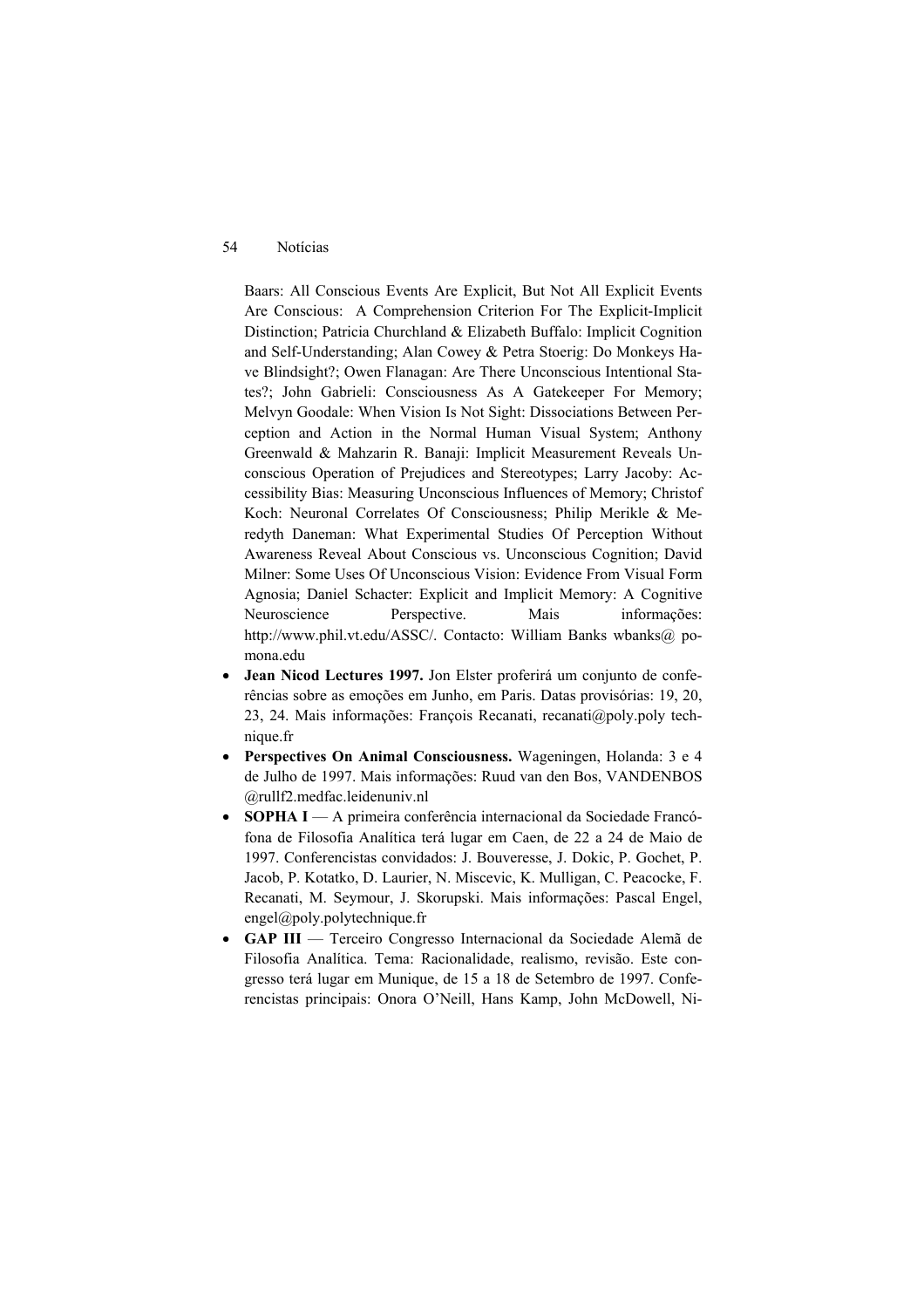#### 54 Notícias

Baars: All Conscious Events Are Explicit, But Not All Explicit Events Are Conscious: A Comprehension Criterion For The Explicit-Implicit Distinction; Patricia Churchland & Elizabeth Buffalo: Implicit Cognition and Self-Understanding; Alan Cowey & Petra Stoerig: Do Monkeys Have Blindsight?; Owen Flanagan: Are There Unconscious Intentional States?; John Gabrieli: Consciousness As A Gatekeeper For Memory; Melvyn Goodale: When Vision Is Not Sight: Dissociations Between Perception and Action in the Normal Human Visual System; Anthony Greenwald & Mahzarin R. Banaji: Implicit Measurement Reveals Unconscious Operation of Prejudices and Stereotypes; Larry Jacoby: Accessibility Bias: Measuring Unconscious Influences of Memory; Christof Koch: Neuronal Correlates Of Consciousness; Philip Merikle & Meredyth Daneman: What Experimental Studies Of Perception Without Awareness Reveal About Conscious vs. Unconscious Cognition; David Milner: Some Uses Of Unconscious Vision: Evidence From Visual Form Agnosia; Daniel Schacter: Explicit and Implicit Memory: A Cognitive Neuroscience Perspective. Mais informações: http://www.phil.vt.edu/ASSC/. Contacto: William Banks wbanks@ pomona.edu

- **Jean Nicod Lectures 1997.** Jon Elster proferirá um conjunto de conferências sobre as emoções em Junho, em Paris. Datas provisórias: 19, 20, 23, 24. Mais informações: François Recanati, recanati@poly.poly technique.fr
- **Perspectives On Animal Consciousness.** Wageningen, Holanda: 3 e 4 de Julho de 1997. Mais informações: Ruud van den Bos, VANDENBOS @rullf2.medfac.leidenuniv.nl
- **SOPHA I**  A primeira conferência internacional da Sociedade Francófona de Filosofia Analítica terá lugar em Caen, de 22 a 24 de Maio de 1997. Conferencistas convidados: J. Bouveresse, J. Dokic, P. Gochet, P. Jacob, P. Kotatko, D. Laurier, N. Miscevic, K. Mulligan, C. Peacocke, F. Recanati, M. Seymour, J. Skorupski. Mais informações: Pascal Engel, engel@poly.polytechnique.fr
- **GAP III**  Terceiro Congresso Internacional da Sociedade Alemã de Filosofia Analítica. Tema: Racionalidade, realismo, revisão. Este congresso terá lugar em Munique, de 15 a 18 de Setembro de 1997. Conferencistas principais: Onora O'Neill, Hans Kamp, John McDowell, Ni-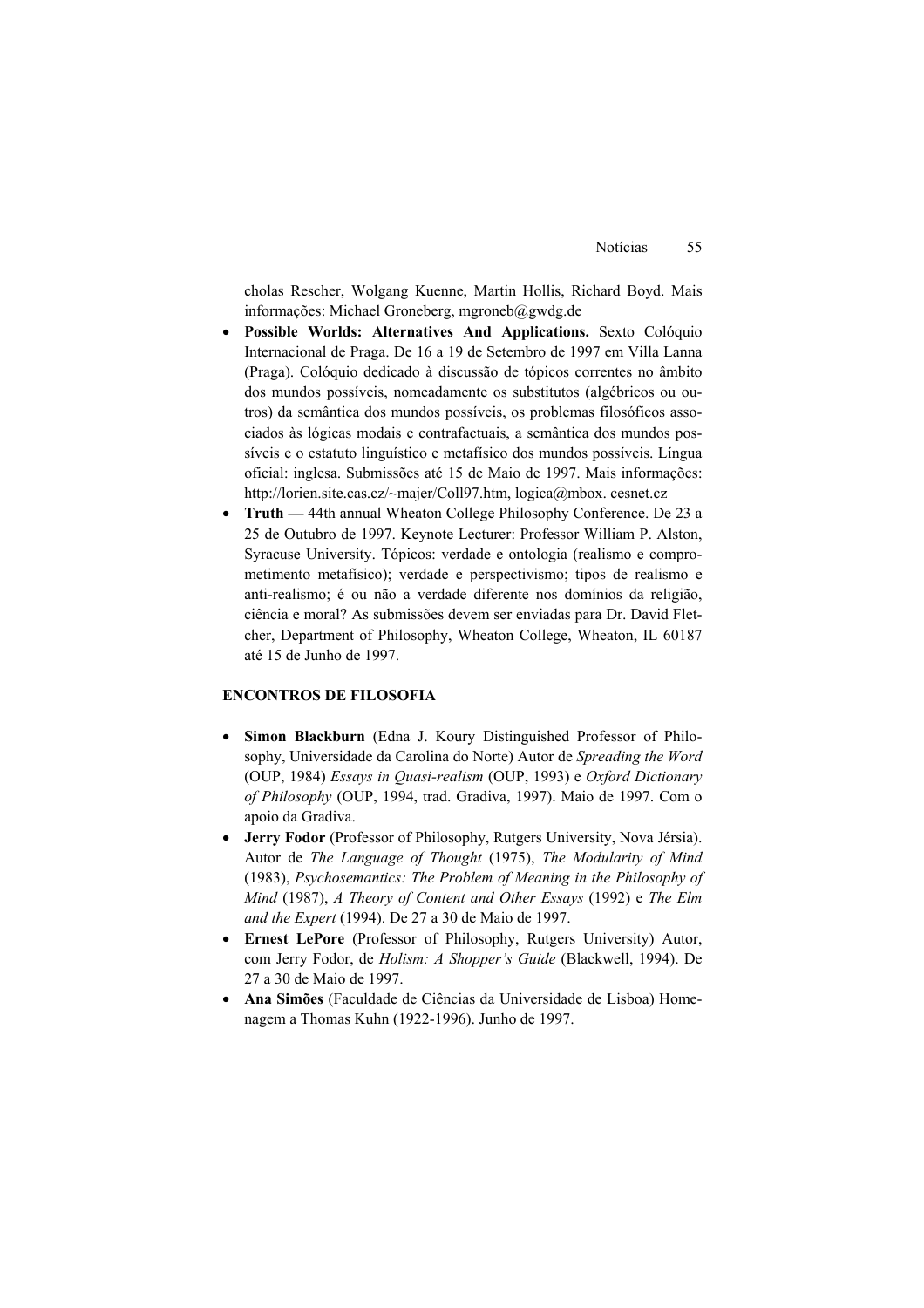cholas Rescher, Wolgang Kuenne, Martin Hollis, Richard Boyd. Mais informações: Michael Groneberg, mgroneb@gwdg.de

- **Possible Worlds: Alternatives And Applications.** Sexto Colóquio Internacional de Praga. De 16 a 19 de Setembro de 1997 em Villa Lanna (Praga). Colóquio dedicado à discussão de tópicos correntes no âmbito dos mundos possíveis, nomeadamente os substitutos (algébricos ou outros) da semântica dos mundos possíveis, os problemas filosóficos associados às lógicas modais e contrafactuais, a semântica dos mundos possíveis e o estatuto linguístico e metafísico dos mundos possíveis. Língua oficial: inglesa. Submissões até 15 de Maio de 1997. Mais informações: http://lorien.site.cas.cz/~majer/Coll97.htm, logica@mbox. cesnet.cz
- **Truth** 44th annual Wheaton College Philosophy Conference. De 23 a 25 de Outubro de 1997. Keynote Lecturer: Professor William P. Alston, Syracuse University. Tópicos: verdade e ontologia (realismo e comprometimento metafísico); verdade e perspectivismo; tipos de realismo e anti-realismo; é ou não a verdade diferente nos domínios da religião, ciência e moral? As submissões devem ser enviadas para Dr. David Fletcher, Department of Philosophy, Wheaton College, Wheaton, IL 60187 até 15 de Junho de 1997.

#### **ENCONTROS DE FILOSOFIA**

- **Simon Blackburn** (Edna J. Koury Distinguished Professor of Philosophy, Universidade da Carolina do Norte) Autor de *Spreading the Word* (OUP, 1984) *Essays in Quasi-realism* (OUP, 1993) e *Oxford Dictionary of Philosophy* (OUP, 1994, trad. Gradiva, 1997). Maio de 1997. Com o apoio da Gradiva.
- **Jerry Fodor** (Professor of Philosophy, Rutgers University, Nova Jérsia). Autor de *The Language of Thought* (1975), *The Modularity of Mind*  (1983), *Psychosemantics: The Problem of Meaning in the Philosophy of Mind* (1987), *A Theory of Content and Other Essays* (1992) e *The Elm and the Expert* (1994). De 27 a 30 de Maio de 1997.
- **Ernest LePore** (Professor of Philosophy, Rutgers University) Autor, com Jerry Fodor, de *Holism: A Shopper's Guide* (Blackwell, 1994). De 27 a 30 de Maio de 1997.
- **Ana Simões** (Faculdade de Ciências da Universidade de Lisboa) Homenagem a Thomas Kuhn (1922-1996). Junho de 1997.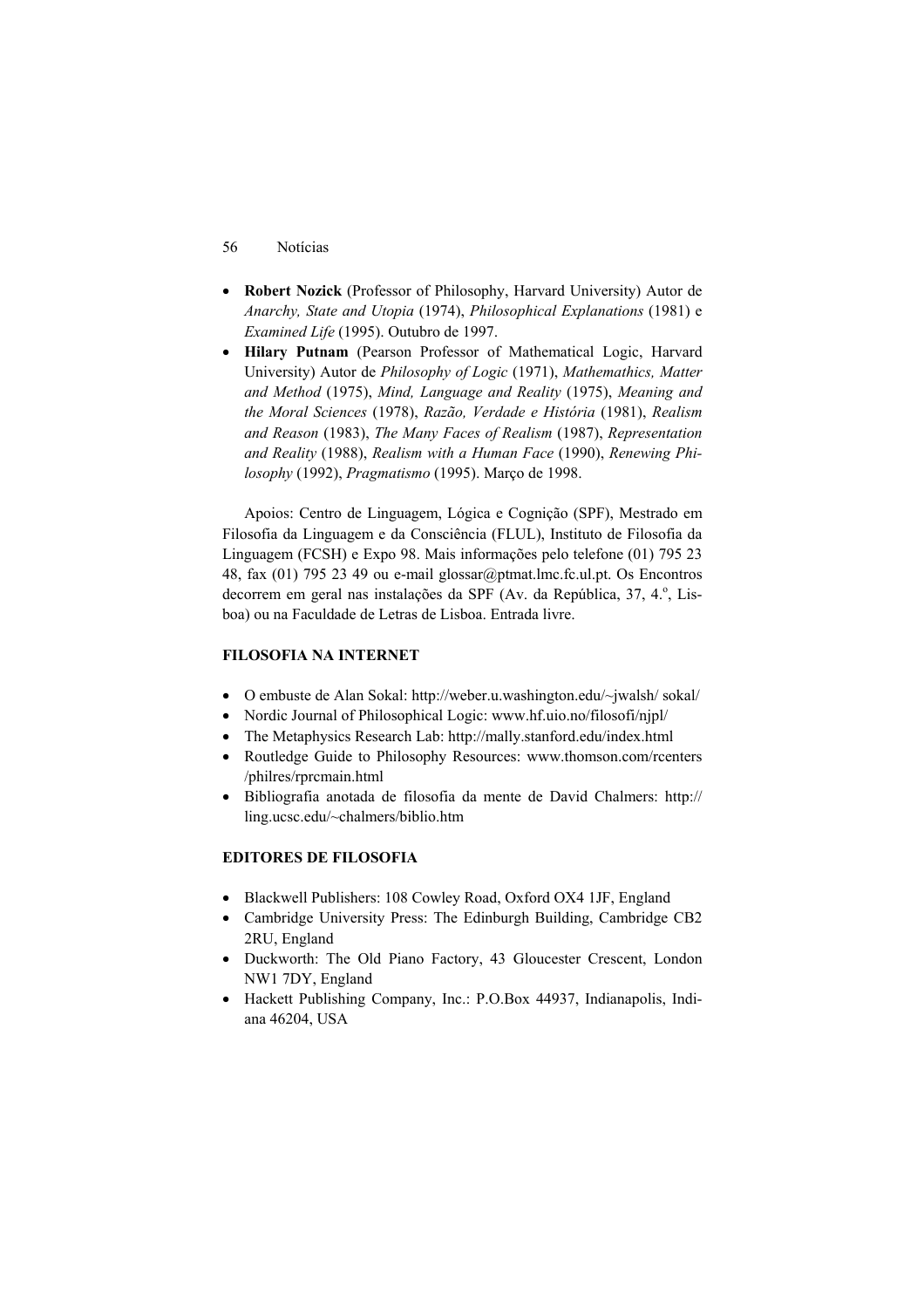- 56 Notícias
- **Robert Nozick** (Professor of Philosophy, Harvard University) Autor de *Anarchy, State and Utopia* (1974), *Philosophical Explanations* (1981) e *Examined Life* (1995). Outubro de 1997.
- **Hilary Putnam** (Pearson Professor of Mathematical Logic, Harvard University) Autor de *Philosophy of Logic* (1971), *Mathemathics, Matter and Method* (1975), *Mind, Language and Reality* (1975), *Meaning and the Moral Sciences* (1978), *Razão, Verdade e História* (1981), *Realism and Reason* (1983), *The Many Faces of Realism* (1987), *Representation and Reality* (1988), *Realism with a Human Face* (1990), *Renewing Philosophy* (1992), *Pragmatismo* (1995). Março de 1998.

 Apoios: Centro de Linguagem, Lógica e Cognição (SPF), Mestrado em Filosofia da Linguagem e da Consciência (FLUL), Instituto de Filosofia da Linguagem (FCSH) e Expo 98. Mais informações pelo telefone (01) 795 23 48, fax (01) 795 23 49 ou e-mail glossar@ptmat.lmc.fc.ul.pt. Os Encontros decorrem em geral nas instalações da SPF (Av. da República, 37, 4.º, Lisboa) ou na Faculdade de Letras de Lisboa. Entrada livre.

### **FILOSOFIA NA INTERNET**

- O embuste de Alan Sokal: http://weber.u.washington.edu/~jwalsh/ sokal/
- Nordic Journal of Philosophical Logic: www.hf.uio.no/filosofi/njpl/
- The Metaphysics Research Lab: http://mally.stanford.edu/index.html
- Routledge Guide to Philosophy Resources: www.thomson.com/rcenters /philres/rprcmain.html
- Bibliografia anotada de filosofia da mente de David Chalmers: http:// ling.ucsc.edu/~chalmers/biblio.htm

### **EDITORES DE FILOSOFIA**

- Blackwell Publishers: 108 Cowley Road, Oxford OX4 1JF, England
- Cambridge University Press: The Edinburgh Building, Cambridge CB2 2RU, England
- Duckworth: The Old Piano Factory, 43 Gloucester Crescent, London NW1 7DY, England
- Hackett Publishing Company, Inc.: P.O.Box 44937, Indianapolis, Indiana 46204, USA